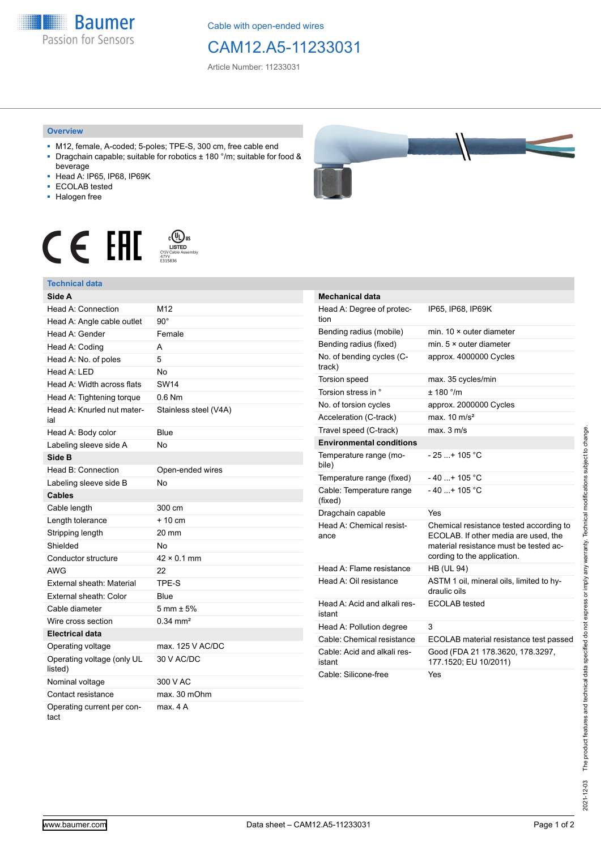**Baumer** Passion for Sensors

Cable with open-ended wires

## CAM12.A5-11233031

Article Number: 11233031

## **Overview**

- M12, female, A-coded; 5-poles; TPE-S, 300 cm, free cable end ■ Dragchain capable; suitable for robotics ± 180 °/m; suitable for food &
- beverage ■ Head A: IP65, IP68, IP69K
- ECOLAB tested
- Halogen free
- 



## **Technical data**

| Side A                                |                        |
|---------------------------------------|------------------------|
| Head A: Connection                    | M12                    |
| Head A: Angle cable outlet            | $90^{\circ}$           |
| Head A: Gender                        | Female                 |
| Head A: Coding                        | А                      |
| Head A: No. of poles                  | 5                      |
| Head A: LED                           | No                     |
| Head A: Width across flats            | <b>SW14</b>            |
| Head A: Tightening torque             | $0.6$ Nm               |
| Head A: Knurled nut mater-<br>ial     | Stainless steel (V4A)  |
| Head A: Body color                    | Blue                   |
| Labeling sleeve side A                | No                     |
| Side B                                |                        |
| Head B: Connection                    | Open-ended wires       |
| Labeling sleeve side B                | No                     |
| <b>Cables</b>                         |                        |
| Cable length                          | 300 cm                 |
| Length tolerance                      | + 10 cm                |
| Stripping length                      | 20 mm                  |
| Shielded                              | No                     |
| Conductor structure                   | $42 \times 0.1$ mm     |
| <b>AWG</b>                            | 22                     |
| External sheath: Material             | TPE-S                  |
| External sheath: Color                | Blue                   |
| Cable diameter                        | $5 \text{ mm} \pm 5\%$ |
| Wire cross section                    | $0.34 \, \text{mm}^2$  |
| <b>Electrical data</b>                |                        |
| Operating voltage                     | max, 125 V AC/DC       |
| Operating voltage (only UL<br>listed) | 30 V AC/DC             |
| Nominal voltage                       | 300 V AC               |
| Contact resistance                    | max. 30 mOhm           |
| Operating current per con-<br>tact    | max. 4 A               |



| <b>Mechanical data</b>                 |                                                                                                                                                          |
|----------------------------------------|----------------------------------------------------------------------------------------------------------------------------------------------------------|
| Head A: Degree of protec-<br>tion      | IP65, IP68, IP69K                                                                                                                                        |
| Bending radius (mobile)                | min 10 x outer diameter                                                                                                                                  |
| Bending radius (fixed)                 | min. 5 × outer diameter                                                                                                                                  |
| No. of bending cycles (C-<br>track)    | approx. 4000000 Cycles                                                                                                                                   |
| Torsion speed                          | max. 35 cycles/min                                                                                                                                       |
| Torsion stress in °                    | ± 180 °/m                                                                                                                                                |
| No. of torsion cycles                  | approx. 2000000 Cycles                                                                                                                                   |
| Acceleration (C-track)                 | max $10 \text{ m/s}^2$                                                                                                                                   |
| Travel speed (C-track)                 | max. 3 m/s                                                                                                                                               |
| <b>Environmental conditions</b>        |                                                                                                                                                          |
| Temperature range (mo-<br>bile)        | $-25$ + 105 °C                                                                                                                                           |
| Temperature range (fixed)              | - 40 + 105 °C                                                                                                                                            |
| Cable: Temperature range<br>(fixed)    | $-40+105 °C$                                                                                                                                             |
| Dragchain capable                      | Yes                                                                                                                                                      |
| Head A: Chemical resist-<br>ance       | Chemical resistance tested according to<br>ECOLAB. If other media are used, the<br>material resistance must be tested ac-<br>cording to the application. |
| Head A: Flame resistance               | <b>HB (UL 94)</b>                                                                                                                                        |
| Head A: Oil resistance                 | ASTM 1 oil, mineral oils, limited to hy-<br>draulic oils                                                                                                 |
| Head A: Acid and alkali res-<br>istant | <b>ECOLAB</b> tested                                                                                                                                     |
| Head A: Pollution degree               | 3                                                                                                                                                        |
| Cable: Chemical resistance             | ECOLAB material resistance test passed                                                                                                                   |
| Cable: Acid and alkali res-<br>istant  | Good (FDA 21 178.3620, 178.3297,<br>177.1520; EU 10/2011)                                                                                                |
| Cable: Silicone-free                   | Yes                                                                                                                                                      |